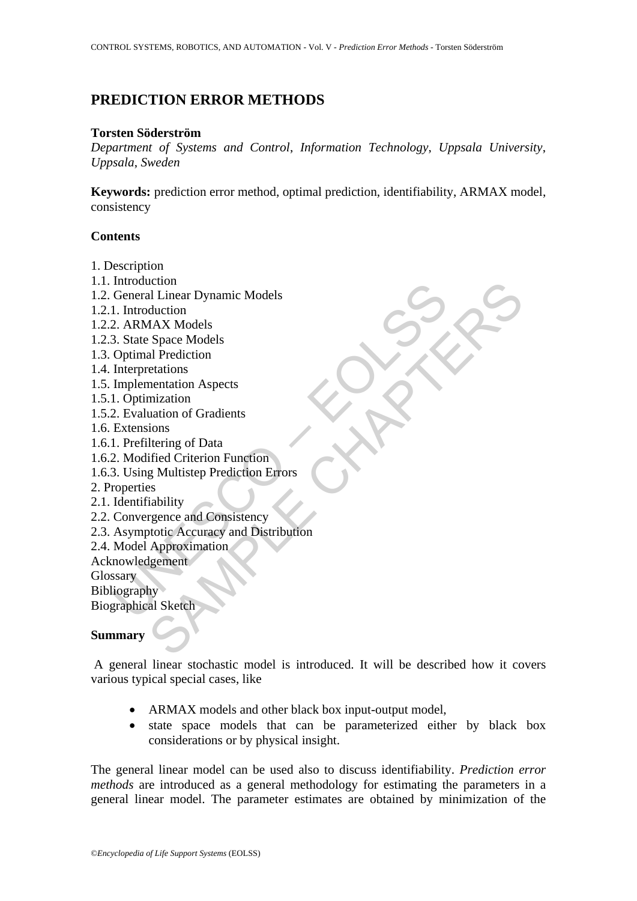# **PREDICTION ERROR METHODS**

### **Torsten Söderström**

*Department of Systems and Control*, *Information Technology*, *Uppsala University*, *Uppsala*, *Sweden* 

**Keywords:** prediction error method, optimal prediction, identifiability, ARMAX model, consistency

# **Contents**

- 1. Description
- 1.1. Introduction
- 1.2. General Linear Dynamic Models
- 1.2.1. Introduction
- 1.2.2. ARMAX Models
- 1.2.3. State Space Models
- 1.3. Optimal Prediction
- 1.4. Interpretations
- 1.5. Implementation Aspects
- 1.5.1. Optimization
- 1.5.2. Evaluation of Gradients
- 1.6. Extensions
- 1.6.1. Prefiltering of Data
- 1.6.2. Modified Criterion Function
- 1.6.3. Using Multistep Prediction Errors
- 2. Properties
- 2.1. Identifiability
- 2.2. Convergence and Consistency
- muoduction<br>
General Linear Dynamic Models<br>
2. ARMAX Models<br>
3. State Space Models<br>
3. State Space Models<br>
Optimal Prediction<br>
Interpretations<br>
Implementation Aspects<br>
I. Optimization<br>
2. Evaluation of Gradients<br>
Extensions citon<br>al Linear Dynamic Models<br>duction<br>dux Models<br>duction<br>al Prediction<br>entations<br>examentation Aspects<br>training of Data<br>uation of Gradients<br>gounce and Consistency<br>g Sullistiep Prediction Errors<br>ss<br>rability<br>totic Accuracy a 2.3. Asymptotic Accuracy and Distribution
- 2.4. Model Approximation
- Acknowledgement
- **Glossary**

Bibliography

Biographical Sketch

# **Summary**

 A general linear stochastic model is introduced. It will be described how it covers various typical special cases, like

- ARMAX models and other black box input-output model,
- state space models that can be parameterized either by black box considerations or by physical insight.

The general linear model can be used also to discuss identifiability. *Prediction error methods* are introduced as a general methodology for estimating the parameters in a general linear model. The parameter estimates are obtained by minimization of the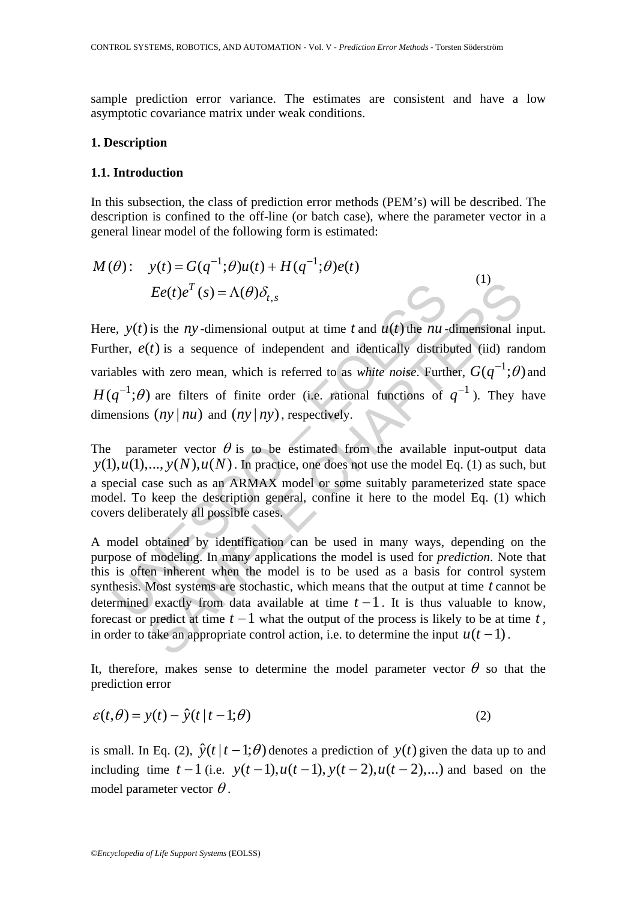sample prediction error variance. The estimates are consistent and have a low asymptotic covariance matrix under weak conditions.

#### **1. Description**

## **1.1. Introduction**

In this subsection, the class of prediction error methods (PEM's) will be described. The description is confined to the off-line (or batch case), where the parameter vector in a general linear model of the following form is estimated:

 $\overline{C}$ 

$$
M(\theta): \quad y(t) = G(q^{-1}; \theta)u(t) + H(q^{-1}; \theta)e(t)
$$

$$
Ee(t)e^{T}(s) = \Lambda(\theta)\delta_{t,s}
$$

 $Ee(t)e^T$  (s) =  $\Lambda(\theta)\delta_{t,s}$ <br>
e,  $y(t)$  is the *ny*-dimensional output at time *t* and  $u(t)$  the *nu*-<br>
her,  $e(t)$  is a sequence of independent and identically distrib<br>
ables with zero mean, which is referred to as *white n* Here,  $y(t)$  is the *ny*-dimensional output at time *t* and  $u(t)$  the *nu*-dimensional input. Further,  $e(t)$  is a sequence of independent and identically distributed (iid) random variables with zero mean, which is referred to as *white noise*. Further,  $G(q^{-1};\theta)$  and  $H(q^{-1};\theta)$  are filters of finite order (i.e. rational functions of  $q^{-1}$ ). They have dimensions  $(ny | nu)$  and  $(ny | ny)$ , respectively.

The parameter vector  $\theta$  is to be estimated from the available input-output data  $y(1), u(1),..., y(N), u(N)$ . In practice, one does not use the model Eq. (1) as such, but a special case such as an ARMAX model or some suitably parameterized state space model. To keep the description general, confine it here to the model Eq. (1) which covers deliberately all possible cases.

 $Ee(t)e^T(s) = \Lambda(\theta)\delta_{t,s}$ <br>
is the *ny*-dimensional output at time *t* and  $u(t)$  the *nu*-dimensional in<br>
(*t*) is a sequence of independent and identically distributed (iid) ranvith zero mean, which is referred to as *white n* A model obtained by identification can be used in many ways, depending on the purpose of modeling. In many applications the model is used for *prediction*. Note that this is often inherent when the model is to be used as a basis for control system synthesis. Most systems are stochastic, which means that the output at time *t* cannot be determined exactly from data available at time  $t-1$ . It is thus valuable to know, forecast or predict at time  $t - 1$  what the output of the process is likely to be at time  $t$ . in order to take an appropriate control action, i.e. to determine the input  $u(t - 1)$ .

It, therefore, makes sense to determine the model parameter vector  $\theta$  so that the prediction error

$$
\varepsilon(t,\theta) = y(t) - \hat{y}(t \mid t-1;\theta)
$$
\n(2)

is small. In Eq. (2),  $\hat{y}(t | t - 1; \theta)$  denotes a prediction of  $y(t)$  given the data up to and including time  $t-1$  (i.e.  $y(t-1)$ ,  $u(t-1)$ ,  $y(t-2)$ ,  $u(t-2)$ ,...) and based on the model parameter vector  $\theta$ .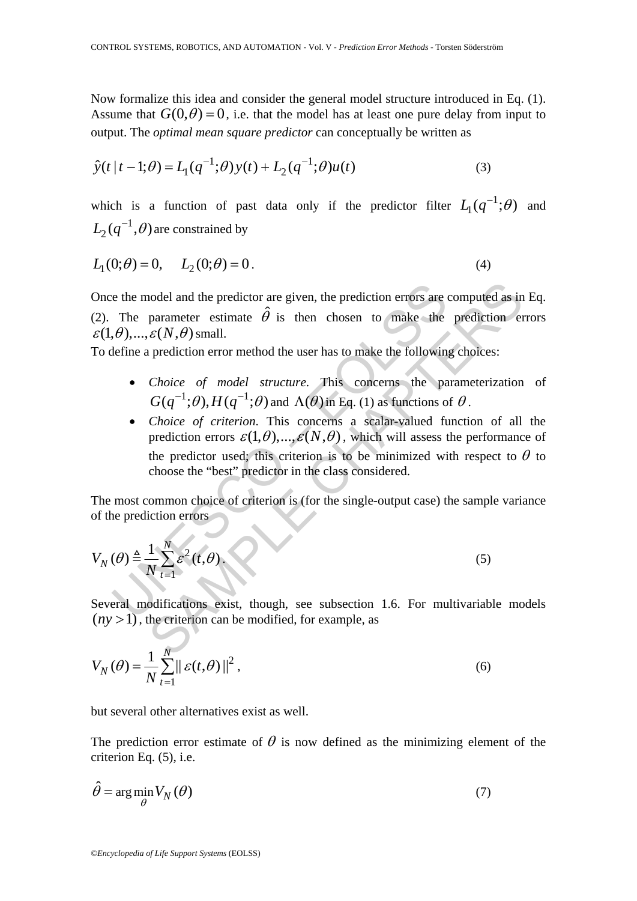Now formalize this idea and consider the general model structure introduced in Eq. (1). Assume that  $G(0, \theta) = 0$ , i.e. that the model has at least one pure delay from input to output. The *optimal mean square predictor* can conceptually be written as

$$
\hat{y}(t \mid t-1; \theta) = L_1(q^{-1}; \theta) y(t) + L_2(q^{-1}; \theta) u(t)
$$
\n(3)

which is a function of past data only if the predictor filter  $L_1(q^{-1};\theta)$  and  $L_2(q^{-1},\theta)$  are constrained by

$$
L_1(0; \theta) = 0, \qquad L_2(0; \theta) = 0.
$$
\n<sup>(4)</sup>

Once the model and the predictor are given, the prediction errors are computed as in Eq. (2). The parameter estimate  $\hat{\theta}$  is then chosen to make the prediction errors  $\varepsilon(1, \theta), \ldots, \varepsilon(N, \theta)$  small.

To define a prediction error method the user has to make the following choices:

- *Choice of model structure*. This concerns the parameterization of  $G(q^{-1};\theta), H(q^{-1};\theta)$  and  $\Lambda(\theta)$  in Eq. (1) as functions of  $\theta$ .
- e the model and the predictor are given, the prediction errors are<br>
The parameter estimate  $\hat{\theta}$  is then chosen to make the<br>  $(\theta)$ ,...,  $\varepsilon(N, \theta)$  small.<br>
Lefine a prediction error method the user has to make the follow nodel and the predictor are given, the prediction errors are computed as in<br>parameter estimate  $\hat{\theta}$  is then chosen to make the prediction errors<br> $\varepsilon(N,\theta)$  small.<br>prediction error method the user has to make the followi • *Choice of criterion*. This concerns a scalar-valued function of all the prediction errors  $\varepsilon(1,\theta),..., \varepsilon(N,\theta)$ , which will assess the performance of the predictor used; this criterion is to be minimized with respect to  $\theta$  to choose the "best" predictor in the class considered.

The most common choice of criterion is (for the single-output case) the sample variance of the prediction errors

$$
V_N(\theta) \triangleq \frac{1}{N} \sum_{t=1}^N \varepsilon^2(t, \theta).
$$
\n(5)

Several modifications exist, though, see subsection 1.6. For multivariable models  $(ny > 1)$ , the criterion can be modified, for example, as

$$
V_N(\theta) = \frac{1}{N} \sum_{t=1}^N \|\varepsilon(t, \theta)\|^2,
$$
\n(6)

but several other alternatives exist as well.

The prediction error estimate of  $\theta$  is now defined as the minimizing element of the criterion Eq. (5), i.e.

$$
\hat{\theta} = \arg\min_{\theta} V_N(\theta) \tag{7}
$$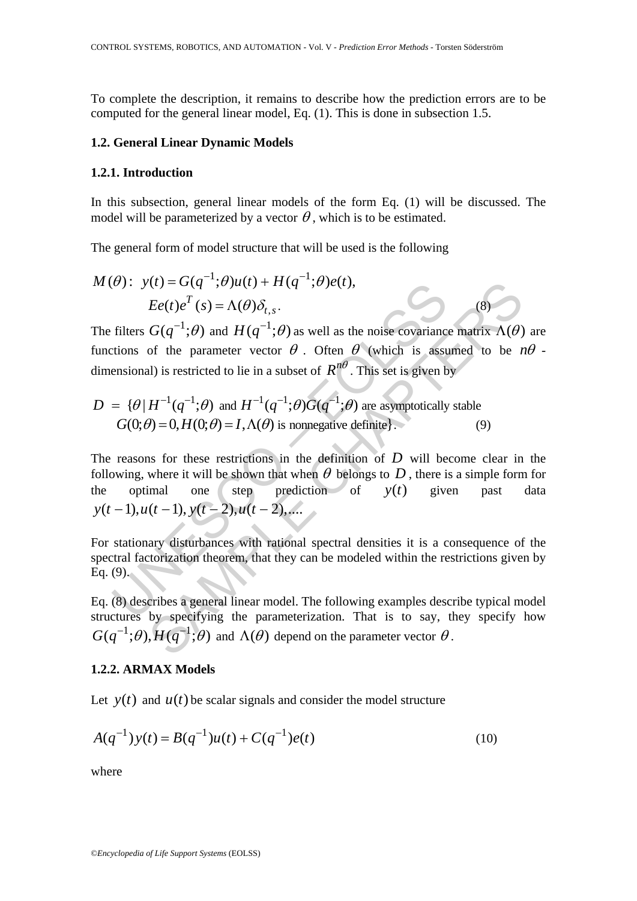To complete the description, it remains to describe how the prediction errors are to be computed for the general linear model, Eq. (1). This is done in subsection 1.5.

#### **1.2. General Linear Dynamic Models**

### **1.2.1. Introduction**

In this subsection, general linear models of the form Eq. (1) will be discussed. The model will be parameterized by a vector  $\theta$ , which is to be estimated.

The general form of model structure that will be used is the following

$$
M(\theta): y(t) = G(q^{-1}; \theta)u(t) + H(q^{-1}; \theta)e(t),
$$
  
\n
$$
Ee(t)e^{T}(s) = \Lambda(\theta)\delta_{t,s}.
$$
\n(8)

The filters  $G(q^{-1};\theta)$  and  $H(q^{-1};\theta)$  as well as the noise covariance matrix  $\Lambda(\theta)$  are functions of the parameter vector  $\theta$ . Often  $\theta$  (which is assumed to be  $n\theta$ . dimensional) is restricted to lie in a subset of  $R^{n\theta}$ . This set is given by

$$
D = \{\theta | H^{-1}(q^{-1}; \theta) \text{ and } H^{-1}(q^{-1}; \theta)G(q^{-1}; \theta) \text{ are asymptotically stable}
$$
  

$$
G(0; \theta) = 0, H(0; \theta) = I, \Lambda(\theta) \text{ is nonnegative definite}\}.
$$
 (9)

(*v*):  $y(t) = G(q^2; \theta)u(t) + H(q^2; \theta)e(t)$ ,<br>  $Ee(t)e^T(s) = \Lambda(\theta)\delta_{t,s}$ .<br>
filters  $G(q^{-1};\theta)$  and  $H(q^{-1};\theta)$  as well as the noise covariance<br>
tions of the parameter vector  $\theta$ . Often  $\theta$  (which is assumentions) is restricted to lie  $U(t) = G(q^{-1}; \theta)u(t) + H(q^{-1}; \theta)e(t),$ <br>  $Ee(t)e^{T}(s) = \Lambda(\theta)\delta_{t,s}.$  (8)<br>  $G(q^{-1}; \theta)$  and  $H(q^{-1}; \theta)$  as well as the noise covariance matrix  $\Lambda(\theta)$ <br>
of the parameter vector  $\theta$ . Often  $\theta$  (which is assumed to be *t*<br>
al) is restricted t The reasons for these restrictions in the definition of *D* will become clear in the following, where it will be shown that when  $\theta$  belongs to  $D$ , there is a simple form for the optimal one step prediction of  $y(t)$  given past data  $y(t-1), u(t-1), y(t-2), u(t-2),...$ 

For stationary disturbances with rational spectral densities it is a consequence of the spectral factorization theorem, that they can be modeled within the restrictions given by  $Eq. (9)$ .

Eq. (8) describes a general linear model. The following examples describe typical model structures by specifying the parameterization. That is to say, they specify how  $G(q^{-1};\theta), H(q^{-1};\theta)$  and  $\Lambda(\theta)$  depend on the parameter vector  $\theta$ .

#### **1.2.2. ARMAX Models**

Let  $y(t)$  and  $u(t)$  be scalar signals and consider the model structure

$$
A(q^{-1})y(t) = B(q^{-1})u(t) + C(q^{-1})e(t)
$$
\n(10)

where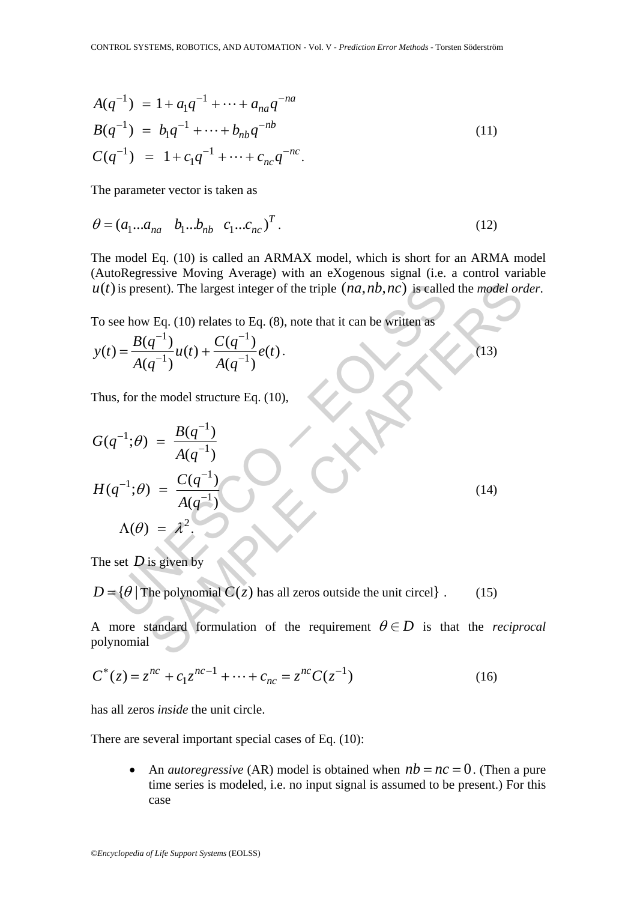$$
A(q^{-1}) = 1 + a_1 q^{-1} + \dots + a_{na} q^{-na}
$$
  
\n
$$
B(q^{-1}) = b_1 q^{-1} + \dots + b_{nb} q^{-nb}
$$
  
\n
$$
C(q^{-1}) = 1 + c_1 q^{-1} + \dots + c_{nc} q^{-nc}.
$$
\n(11)

The parameter vector is taken as

$$
\theta = (a_1...a_{na} \quad b_1...b_{nb} \quad c_1...c_{nc})^T. \tag{12}
$$

The model Eq. (10) is called an ARMAX model, which is short for an ARMA model (AutoRegressive Moving Average) with an eXogenous signal (i.e. a control variable  $u(t)$  is present). The largest integer of the triple  $(na, nb, nc)$  is called the *model order*.

To see how Eq. (10) relates to Eq. (8), note that it can be written as

$$
y(t) = \frac{B(q^{-1})}{A(q^{-1})}u(t) + \frac{C(q^{-1})}{A(q^{-1})}e(t).
$$
\n(13)

Thus, for the model structure Eq. (10),

$$
u(t) \text{ is present). The largest integer of the triple } (na, nb, nc) \text{ is called the model or}
$$
  
To see how Eq. (10) relates to Eq. (8), note that it can be written as  

$$
y(t) = \frac{B(q^{-1})}{A(q^{-1})} u(t) + \frac{C(q^{-1})}{A(q^{-1})} e(t).
$$
  
Thus, for the model structure Eq. (10),  

$$
G(q^{-1}; \theta) = \frac{B(q^{-1})}{A(q^{-1})}
$$

$$
H(q^{-1}; \theta) = \frac{C(q^{-1})}{A(q^{-1})}
$$

$$
\Lambda(\theta) = \lambda^2.
$$
  
The set *D* is given by  

$$
D = {\theta | \text{The polynomial } C(z) \text{ has all zeros outside the unit circle}}.
$$
 (15)  
A more standard formulation of the requirement  $\theta \in D$  is that the *recip* polynomial

The set *D* is given by

 $D = \{ \theta \mid$  The polynomial  $C(z)$  has all zeros outside the unit circel  $\}$ . (15)

A more standard formulation of the requirement  $\theta \in D$  is that the *reciprocal* polynomial

$$
C^*(z) = z^{nc} + c_1 z^{nc-1} + \dots + c_{nc} = z^{nc} C(z^{-1})
$$
\n(16)

has all zeros *inside* the unit circle.

There are several important special cases of Eq. (10):

• An *autoregressive* (AR) model is obtained when  $nb = nc = 0$ . (Then a pure time series is modeled, i.e. no input signal is assumed to be present.) For this case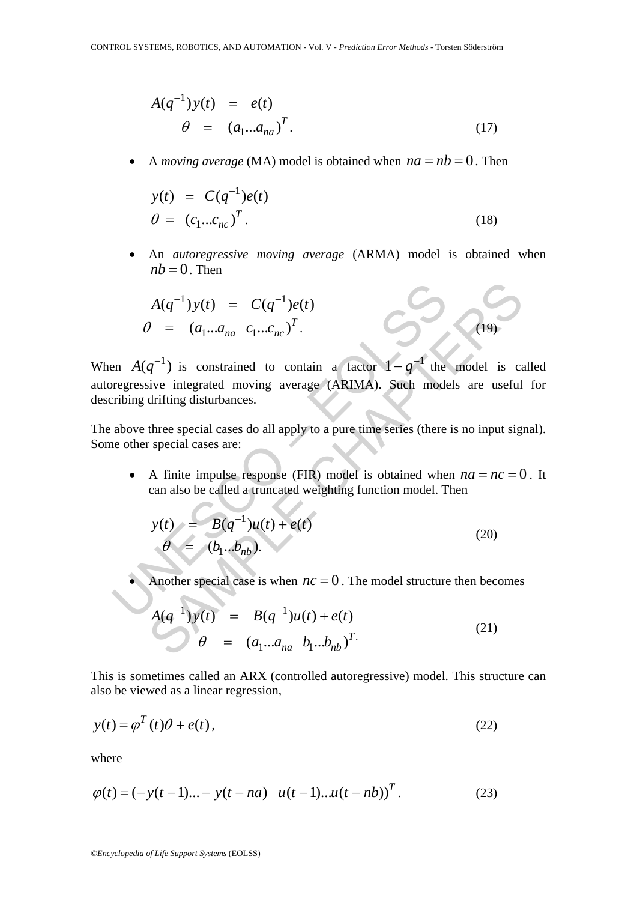$$
A(q^{-1})y(t) = e(t)
$$
  
\n
$$
\theta = (a_1...a_{na})^T.
$$
\n(17)

• A *moving average* (MA) model is obtained when  $na = nb = 0$ . Then

$$
y(t) = C(q^{-1})e(t)
$$
  
\n
$$
\theta = (c_1...c_{nc})^T.
$$
\n(18)

• An *autoregressive moving average* (ARMA) model is obtained when  $nb = 0$ . Then

$$
A(q^{-1})y(t) = C(q^{-1})e(t)
$$
  
\n
$$
\theta = (a_1...a_{na} \ c_1...c_{nc})^T.
$$
 (19)

 $A(q^{-1})y(t) = C(q^{-1})e(t)$ <br>  $\theta = (a_1...a_{na} \ c_1...c_{nc})^T$ .<br>
en  $A(q^{-1})$  is constrained to contain a factor  $1 - q^{-1}$  the<br>
orgenssive integrated moving average (ARIMA). Such mode<br>
ribing drifting disturbances.<br>
above three special case When  $A(q^{-1})$  is constrained to contain a factor  $1 - q^{-1}$  the model is called autoregressive integrated moving average (ARIMA). Such models are useful for describing drifting disturbances.

The above three special cases do all apply to a pure time series (there is no input signal). Some other special cases are:

• A finite impulse response (FIR) model is obtained when  $na = nc = 0$ . It can also be called a truncated weighting function model. Then

$$
y(t) = B(q^{-1})u(t) + e(t)
$$
  
\n
$$
\theta = (b_1..b_{nb}).
$$
\n(20)

Another special case is when  $nc = 0$ . The model structure then becomes

$$
A(q^{-1})y(t) = C(q^{-1})e(t)
$$
  
\n
$$
g^{-1}
$$
 is constrained to contain a factor  $1 - q^{-1}$  the model is ce  
\ngive integrated moving average (ARIMA). Such models are useful  
\ndriting disturbances.  
\nthree special cases do all apply to a pure time series (there is no input sign  
\nspecial cases are:  
\nA finite impulse response (FIR) model is obtained when  $na = nc = C$   
\ncan also be called a truncated weighting function model. Then  
\n
$$
y(t) = B(q^{-1})u(t) + e(t)
$$
\n
$$
\theta = (b_1...b_{nb}).
$$
  
\nAnother special case is when  $nc = 0$ . The model structure then becomes  
\n
$$
A(q^{-1})y(t) = B(q^{-1})u(t) + e(t)
$$
\n
$$
\theta = (a_1...a_{na} b_1...b_{nb})^T.
$$
\n(21)

This is sometimes called an ARX (controlled autoregressive) model. This structure can also be viewed as a linear regression,

$$
y(t) = \varphi^T(t)\theta + e(t),
$$
\n(22)

where

$$
\varphi(t) = (-y(t-1)...-y(t-na) \quad u(t-1)...u(t-nb))^T.
$$
 (23)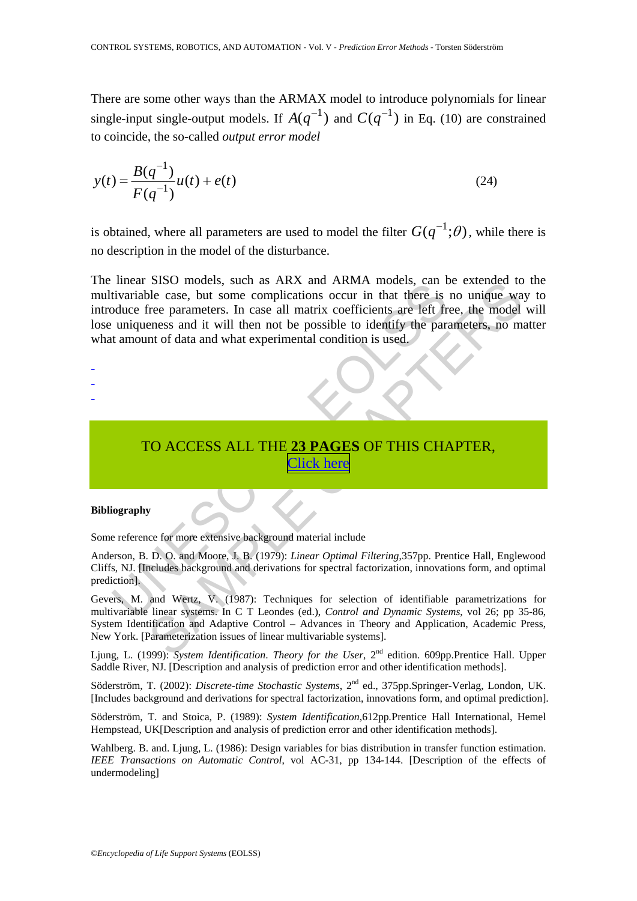There are some other ways than the ARMAX model to introduce polynomials for linear single-input single-output models. If  $A(q^{-1})$  and  $C(q^{-1})$  in Eq. (10) are constrained to coincide, the so-called *output error model* 

$$
y(t) = \frac{B(q^{-1})}{F(q^{-1})}u(t) + e(t)
$$
\n(24)

is obtained, where all parameters are used to model the filter  $G(q^{-1};\theta)$ , while there is no description in the model of the disturbance.

mear31.50 models, such as AKA and AKNA models, can<br>tivariable case, but some complications occur in that there is<br>duce free parameters. In case all matrix coefficients are left fr<br>uniqueness and it will then not be possib SISO models, such as ARA and AKWAR models, can be extended to<br>the case, but some complications occur in that there is no unique was<br>refere parameters. In case all matrix coefficients are left free, the model<br>eness and it The linear SISO models, such as ARX and ARMA models, can be extended to the multivariable case, but some complications occur in that there is no unique way to introduce free parameters. In case all matrix coefficients are left free, the model will lose uniqueness and it will then not be possible to identify the parameters, no matter what amount of data and what experimental condition is used.

- -
- -
- -

# TO ACCESS ALL THE **23 PAGES** OF THIS CHAPTER, Click here

#### **Bibliography**

Some reference for more extensive background material include

Anderson, B. D. O. and Moore, J. B. (1979): *Linear Optimal Filtering*,357pp. Prentice Hall, Englewood Cliffs, NJ. [Includes background and derivations for spectral factorization, innovations form, and optimal prediction].

Gevers, M. and Wertz, V. (1987): Techniques for selection of identifiable parametrizations for multivariable linear systems. In C T Leondes (ed.), *Control and Dynamic Systems*, vol 26; pp 35-86, System Identification and Adaptive Control – Advances in Theory and Application, Academic Press, New York. [Parameterization issues of linear multivariable systems].

Ljung, L. (1999): *System Identification. Theory for the User*, 2<sup>nd</sup> edition. 609pp.Prentice Hall. Upper Saddle River, NJ. [Description and analysis of prediction error and other identification methods].

Söderström, T. (2002): *Discrete*-*time Stochastic Systems*, 2nd ed., 375pp.Springer-Verlag, London, UK. [Includes background and derivations for spectral factorization, innovations form, and optimal prediction].

Söderström, T. and Stoica, P. (1989): *System Identification*,612pp*.*Prentice Hall International, Hemel Hempstead, UK[Description and analysis of prediction error and other identification methods].

Wahlberg. B. and. Ljung, L. (1986): Design variables for bias distribution in transfer function estimation. *IEEE Transactions on Automatic Control*, vol AC-31, pp 134-144. [Description of the effects of undermodeling]